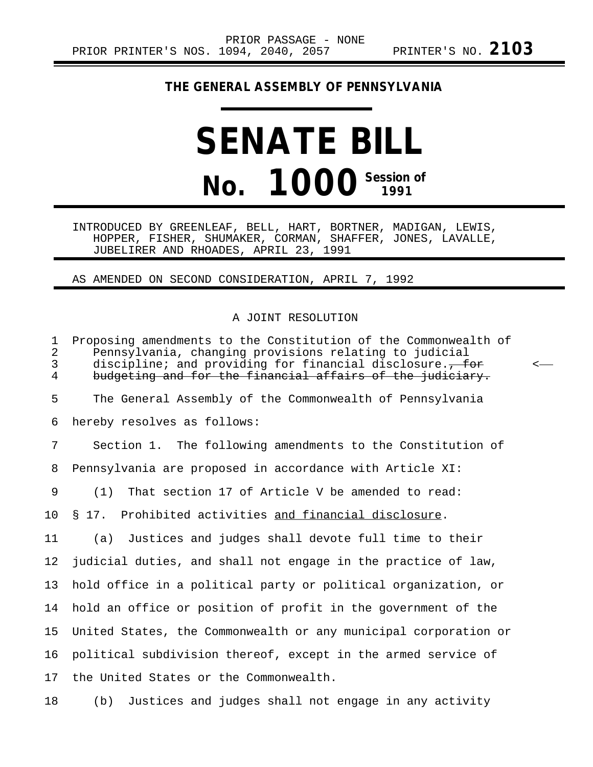PRIOR PASSAGE - NONE PRIOR PRINTER'S NOS. 1094, 2040, 2057 PRINTER'S NO. **2103**

## **THE GENERAL ASSEMBLY OF PENNSYLVANIA**

## **SENATE BILL No. 1000 Session of**

INTRODUCED BY GREENLEAF, BELL, HART, BORTNER, MADIGAN, LEWIS, HOPPER, FISHER, SHUMAKER, CORMAN, SHAFFER, JONES, LAVALLE, JUBELIRER AND RHOADES, APRIL 23, 1991

## AS AMENDED ON SECOND CONSIDERATION, APRIL 7, 1992

## A JOINT RESOLUTION

| $\mathbf{1}$<br>2<br>$\mathsf{3}$<br>$\overline{4}$ | Proposing amendments to the Constitution of the Commonwealth of<br>Pennsylvania, changing provisions relating to judicial<br>discipline; and providing for financial disclosure. $\frac{1}{100}$<br>budgeting and for the financial affairs of the judiciary. |  |
|-----------------------------------------------------|---------------------------------------------------------------------------------------------------------------------------------------------------------------------------------------------------------------------------------------------------------------|--|
| 5                                                   | The General Assembly of the Commonwealth of Pennsylvania                                                                                                                                                                                                      |  |
| 6                                                   | hereby resolves as follows:                                                                                                                                                                                                                                   |  |
| 7                                                   | Section 1. The following amendments to the Constitution of                                                                                                                                                                                                    |  |
| 8                                                   | Pennsylvania are proposed in accordance with Article XI:                                                                                                                                                                                                      |  |
| 9                                                   | That section 17 of Article V be amended to read:<br>(1)                                                                                                                                                                                                       |  |
| $10 \,$                                             | § 17. Prohibited activities and financial disclosure.                                                                                                                                                                                                         |  |
| 11                                                  | Justices and judges shall devote full time to their<br>(a)                                                                                                                                                                                                    |  |
| 12                                                  | judicial duties, and shall not engage in the practice of law,                                                                                                                                                                                                 |  |
| 13                                                  | hold office in a political party or political organization, or                                                                                                                                                                                                |  |
| 14                                                  | hold an office or position of profit in the government of the                                                                                                                                                                                                 |  |
| 15                                                  | United States, the Commonwealth or any municipal corporation or                                                                                                                                                                                               |  |
| 16                                                  | political subdivision thereof, except in the armed service of                                                                                                                                                                                                 |  |
| 17                                                  | the United States or the Commonwealth.                                                                                                                                                                                                                        |  |
|                                                     |                                                                                                                                                                                                                                                               |  |

18 (b) Justices and judges shall not engage in any activity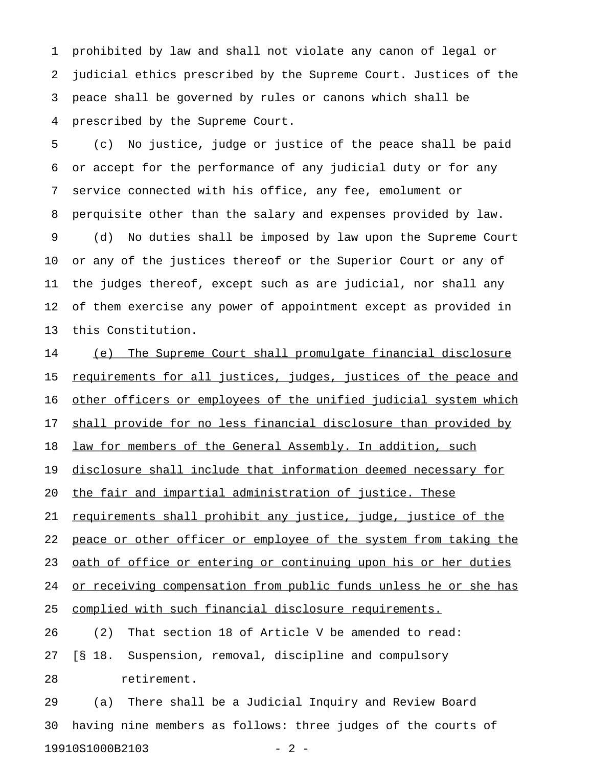1 prohibited by law and shall not violate any canon of legal or 2 judicial ethics prescribed by the Supreme Court. Justices of the 3 peace shall be governed by rules or canons which shall be 4 prescribed by the Supreme Court.

5 (c) No justice, judge or justice of the peace shall be paid 6 or accept for the performance of any judicial duty or for any 7 service connected with his office, any fee, emolument or 8 perquisite other than the salary and expenses provided by law. 9 (d) No duties shall be imposed by law upon the Supreme Court 10 or any of the justices thereof or the Superior Court or any of 11 the judges thereof, except such as are judicial, nor shall any 12 of them exercise any power of appointment except as provided in 13 this Constitution.

14 (e) The Supreme Court shall promulgate financial disclosure 15 <u>requirements for all justices, judges, justices of the peace and</u> 16 other officers or employees of the unified judicial system which 17 shall provide for no less financial disclosure than provided by 18 law for members of the General Assembly. In addition, such 19 disclosure shall include that information deemed necessary for 20 the fair and impartial administration of justice. These 21 requirements shall prohibit any justice, judge, justice of the 22 peace or other officer or employee of the system from taking the 23 oath of office or entering or continuing upon his or her duties 24 or receiving compensation from public funds unless he or she has 25 complied with such financial disclosure requirements. 26 (2) That section 18 of Article V be amended to read: 27 [§ 18. Suspension, removal, discipline and compulsory 28 retirement.

29 (a) There shall be a Judicial Inquiry and Review Board 30 having nine members as follows: three judges of the courts of 19910S1000B2103 - 2 -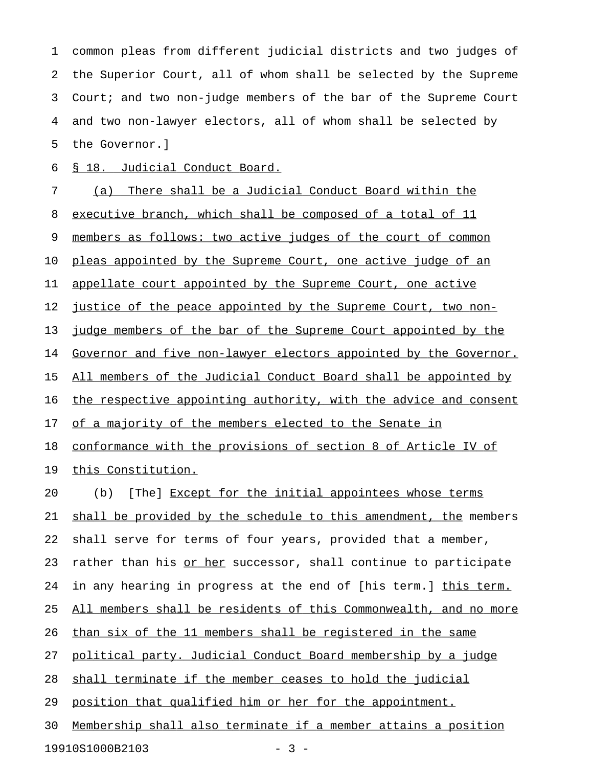1 common pleas from different judicial districts and two judges of 2 the Superior Court, all of whom shall be selected by the Supreme 3 Court; and two non-judge members of the bar of the Supreme Court 4 and two non-lawyer electors, all of whom shall be selected by 5 the Governor.]

6 § 18. Judicial Conduct Board.

7 (a) There shall be a Judicial Conduct Board within the 8 executive branch, which shall be composed of a total of 11 9 members as follows: two active judges of the court of common 10 pleas appointed by the Supreme Court, one active judge of an 11 appellate court appointed by the Supreme Court, one active 12 justice of the peace appointed by the Supreme Court, two non-13 judge members of the bar of the Supreme Court appointed by the 14 Governor and five non-lawyer electors appointed by the Governor. 15 All members of the Judicial Conduct Board shall be appointed by 16 the respective appointing authority, with the advice and consent 17 of a majority of the members elected to the Senate in 18 conformance with the provisions of section 8 of Article IV of 19 this Constitution. 20 (b) [The] Except for the initial appointees whose terms 21 shall be provided by the schedule to this amendment, the members 22 shall serve for terms of four years, provided that a member, 23 rather than his or her successor, shall continue to participate 24 in any hearing in progress at the end of [his term.] this term. 25 All members shall be residents of this Commonwealth, and no more 26 than six of the 11 members shall be registered in the same 27 political party. Judicial Conduct Board membership by a judge 28 shall terminate if the member ceases to hold the judicial 29 position that qualified him or her for the appointment. 30 Membership shall also terminate if a member attains a position

19910S1000B2103 - 3 -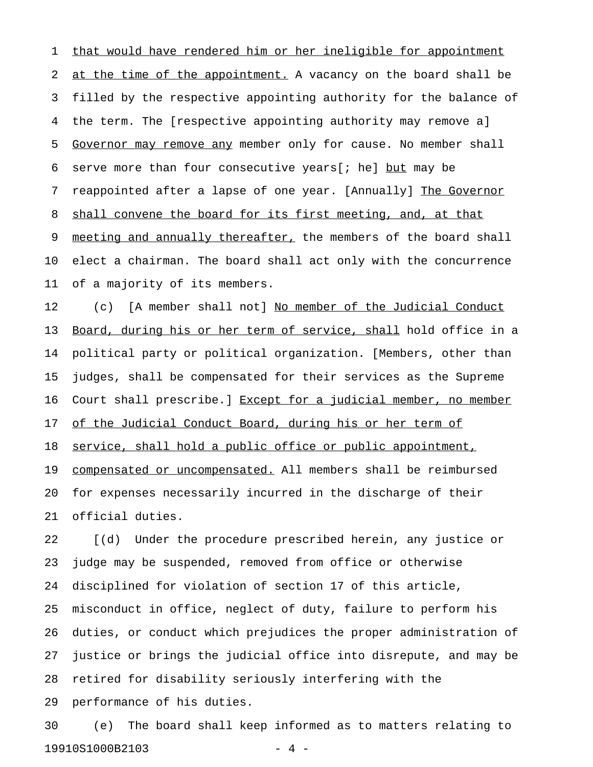1 that would have rendered him or her ineligible for appointment 2 at the time of the appointment. A vacancy on the board shall be 3 filled by the respective appointing authority for the balance of 4 the term. The [respective appointing authority may remove a] 5 Governor may remove any member only for cause. No member shall \_\_\_\_\_\_\_\_\_\_\_\_\_\_\_\_\_\_\_\_\_\_\_ 6 serve more than four consecutive years[; he] but may be 7 reappointed after a lapse of one year. [Annually] The Governor 8 shall convene the board for its first meeting, and, at that 9 meeting and annually thereafter, the members of the board shall 10 elect a chairman. The board shall act only with the concurrence 11 of a majority of its members.

12 (c) [A member shall not] No member of the Judicial Conduct 13 Board, during his or her term of service, shall hold office in a 14 political party or political organization. [Members, other than 15 judges, shall be compensated for their services as the Supreme 16 Court shall prescribe.] Except for a judicial member, no member 17 of the Judicial Conduct Board, during his or her term of 18 service, shall hold a public office or public appointment, 19 compensated or uncompensated. All members shall be reimbursed 20 for expenses necessarily incurred in the discharge of their 21 official duties.

22 [(d) Under the procedure prescribed herein, any justice or 23 judge may be suspended, removed from office or otherwise 24 disciplined for violation of section 17 of this article, 25 misconduct in office, neglect of duty, failure to perform his 26 duties, or conduct which prejudices the proper administration of 27 justice or brings the judicial office into disrepute, and may be 28 retired for disability seriously interfering with the 29 performance of his duties.

30 (e) The board shall keep informed as to matters relating to 19910S1000B2103 - 4 -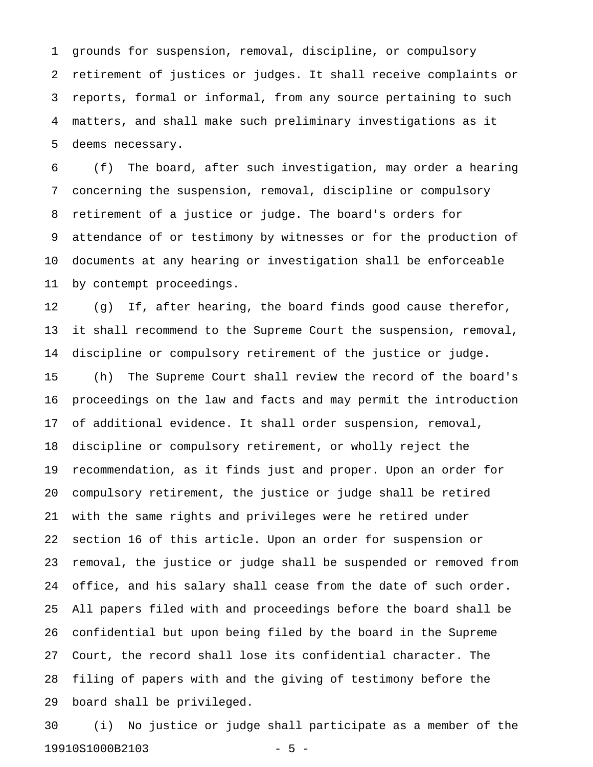1 grounds for suspension, removal, discipline, or compulsory 2 retirement of justices or judges. It shall receive complaints or 3 reports, formal or informal, from any source pertaining to such 4 matters, and shall make such preliminary investigations as it 5 deems necessary.

6 (f) The board, after such investigation, may order a hearing 7 concerning the suspension, removal, discipline or compulsory 8 retirement of a justice or judge. The board's orders for 9 attendance of or testimony by witnesses or for the production of 10 documents at any hearing or investigation shall be enforceable 11 by contempt proceedings.

12 (g) If, after hearing, the board finds good cause therefor, 13 it shall recommend to the Supreme Court the suspension, removal, 14 discipline or compulsory retirement of the justice or judge.

15 (h) The Supreme Court shall review the record of the board's 16 proceedings on the law and facts and may permit the introduction 17 of additional evidence. It shall order suspension, removal, 18 discipline or compulsory retirement, or wholly reject the 19 recommendation, as it finds just and proper. Upon an order for 20 compulsory retirement, the justice or judge shall be retired 21 with the same rights and privileges were he retired under 22 section 16 of this article. Upon an order for suspension or 23 removal, the justice or judge shall be suspended or removed from 24 office, and his salary shall cease from the date of such order. 25 All papers filed with and proceedings before the board shall be 26 confidential but upon being filed by the board in the Supreme 27 Court, the record shall lose its confidential character. The 28 filing of papers with and the giving of testimony before the 29 board shall be privileged.

30 (i) No justice or judge shall participate as a member of the 19910S1000B2103 - 5 -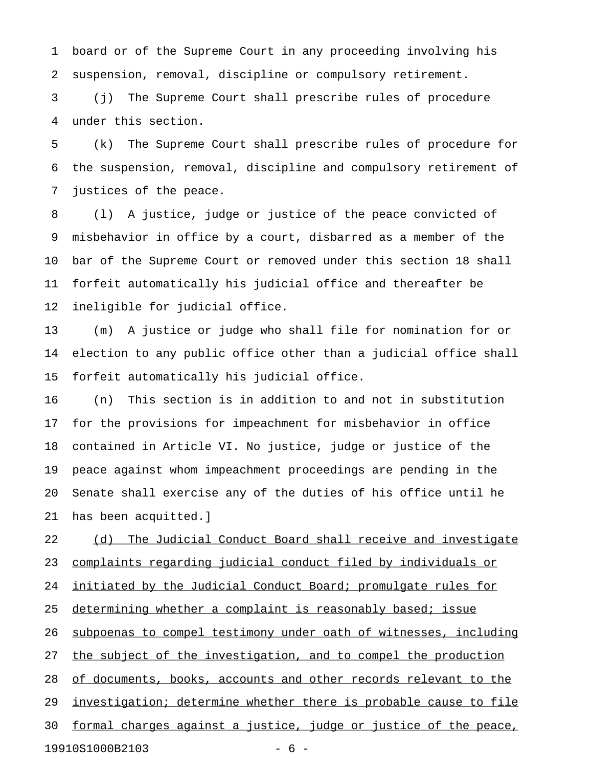1 board or of the Supreme Court in any proceeding involving his 2 suspension, removal, discipline or compulsory retirement.

3 (j) The Supreme Court shall prescribe rules of procedure 4 under this section.

5 (k) The Supreme Court shall prescribe rules of procedure for 6 the suspension, removal, discipline and compulsory retirement of 7 justices of the peace.

8 (l) A justice, judge or justice of the peace convicted of 9 misbehavior in office by a court, disbarred as a member of the 10 bar of the Supreme Court or removed under this section 18 shall 11 forfeit automatically his judicial office and thereafter be 12 ineligible for judicial office.

13 (m) A justice or judge who shall file for nomination for or 14 election to any public office other than a judicial office shall 15 forfeit automatically his judicial office.

16 (n) This section is in addition to and not in substitution 17 for the provisions for impeachment for misbehavior in office 18 contained in Article VI. No justice, judge or justice of the 19 peace against whom impeachment proceedings are pending in the 20 Senate shall exercise any of the duties of his office until he 21 has been acquitted.]

22 (d) The Judicial Conduct Board shall receive and investigate 23 complaints regarding judicial conduct filed by individuals or 24 initiated by the Judicial Conduct Board; promulgate rules for 25 determining whether a complaint is reasonably based; issue 26 subpoenas to compel testimony under oath of witnesses, including 27 the subject of the investigation, and to compel the production 28 of documents, books, accounts and other records relevant to the 29 investigation; determine whether there is probable cause to file 30 formal charges against a justice, judge or justice of the peace, 19910S1000B2103 - 6 -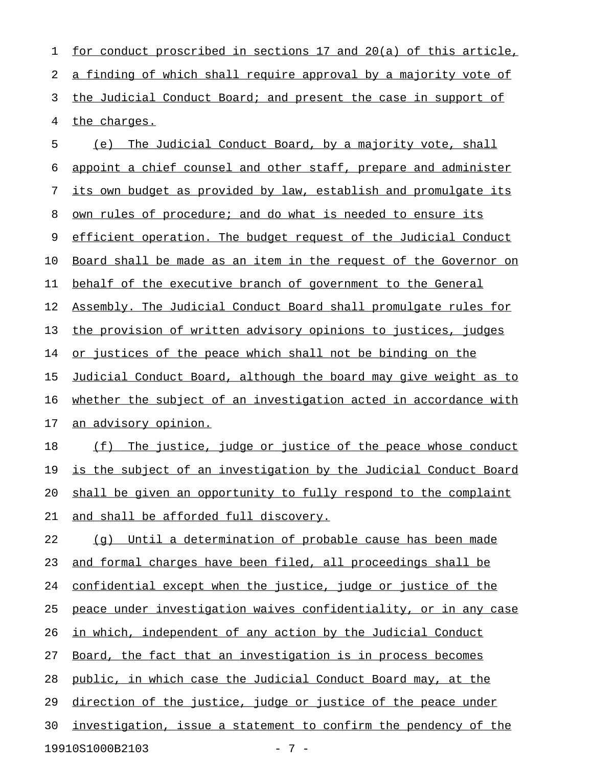1 for conduct proscribed in sections 17 and 20(a) of this article, 2 a finding of which shall require approval by a majority vote of 3 the Judicial Conduct Board; and present the case in support of 4 the charges. 5 (e) The Judicial Conduct Board, by a majority vote, shall 6 appoint a chief counsel and other staff, prepare and administer 7 its own budget as provided by law, establish and promulgate its

8 own rules of procedure; and do what is needed to ensure its

9 efficient operation. The budget request of the Judicial Conduct

10 Board shall be made as an item in the request of the Governor on

11 behalf of the executive branch of government to the General

12 Assembly. The Judicial Conduct Board shall promulgate rules for

13 the provision of written advisory opinions to justices, judges

14 or justices of the peace which shall not be binding on the

15 Judicial Conduct Board, although the board may give weight as to

16 whether the subject of an investigation acted in accordance with 17 an advisory opinion.

18 (f) The justice, judge or justice of the peace whose conduct 19 is the subject of an investigation by the Judicial Conduct Board 20 shall be given an opportunity to fully respond to the complaint 21 and shall be afforded full discovery.

 $22$  (g) Until a determination of probable cause has been made 23 and formal charges have been filed, all proceedings shall be 24 confidential except when the justice, judge or justice of the 25 peace under investigation waives confidentiality, or in any case 26 in which, independent of any action by the Judicial Conduct 27 Board, the fact that an investigation is in process becomes 28 public, in which case the Judicial Conduct Board may, at the 29 direction of the justice, judge or justice of the peace under 30 investigation, issue a statement to confirm the pendency of the

19910S1000B2103 - 7 -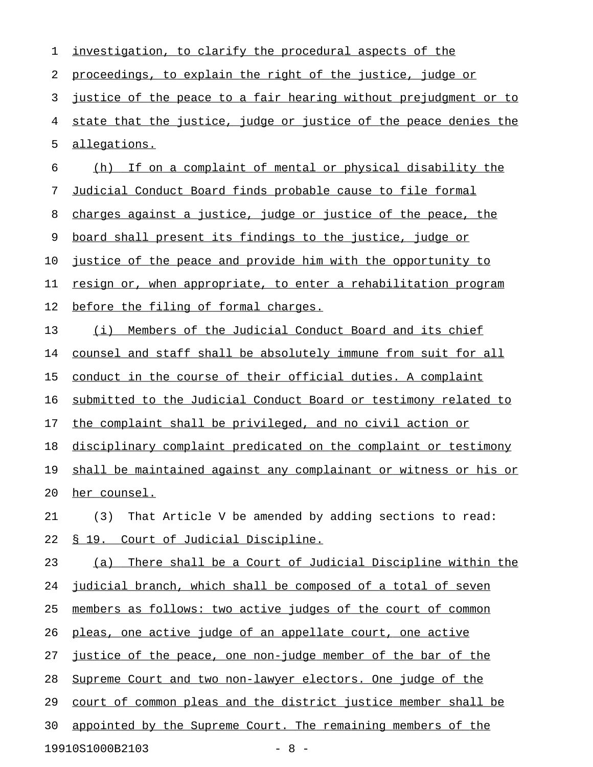| 1  | investigation, to clarify the procedural aspects of the          |
|----|------------------------------------------------------------------|
| 2  | proceedings, to explain the right of the justice, judge or       |
| 3  | justice of the peace to a fair hearing without prejudgment or to |
| 4  | state that the justice, judge or justice of the peace denies the |
| 5  | allegations.                                                     |
| 6  | (h) If on a complaint of mental or physical disability the       |
| 7  | Judicial Conduct Board finds probable cause to file formal       |
| 8  | charges against a justice, judge or justice of the peace, the    |
| 9  | board shall present its findings to the justice, judge or        |
| 10 | justice of the peace and provide him with the opportunity to     |
| 11 | resign or, when appropriate, to enter a rehabilitation program   |
| 12 | before the filing of formal charges.                             |
| 13 | Members of the Judicial Conduct Board and its chief<br>(i)       |
| 14 | counsel and staff shall be absolutely immune from suit for all   |
| 15 | conduct in the course of their official duties. A complaint      |
| 16 | submitted to the Judicial Conduct Board or testimony related to  |
| 17 | the complaint shall be privileged, and no civil action or        |
| 18 | disciplinary complaint predicated on the complaint or testimony  |
| 19 | shall be maintained against any complainant or witness or his or |
| 20 | her counsel.                                                     |
| 21 | (3) That Article V be amended by adding sections to read:        |
| 22 | <u>§ 19. Court of Judicial Discipline.</u>                       |
| 23 | (a) There shall be a Court of Judicial Discipline within the     |
| 24 | judicial branch, which shall be composed of a total of seven     |
| 25 | members as follows: two active judges of the court of common     |
| 26 | pleas, one active judge of an appellate court, one active        |
| 27 | justice of the peace, one non-judge member of the bar of the     |
| 28 | Supreme Court and two non-lawyer electors. One judge of the      |
| 29 | court of common pleas and the district justice member shall be   |
| 30 | appointed by the Supreme Court. The remaining members of the     |
|    | $-8 -$<br>19910S1000B2103                                        |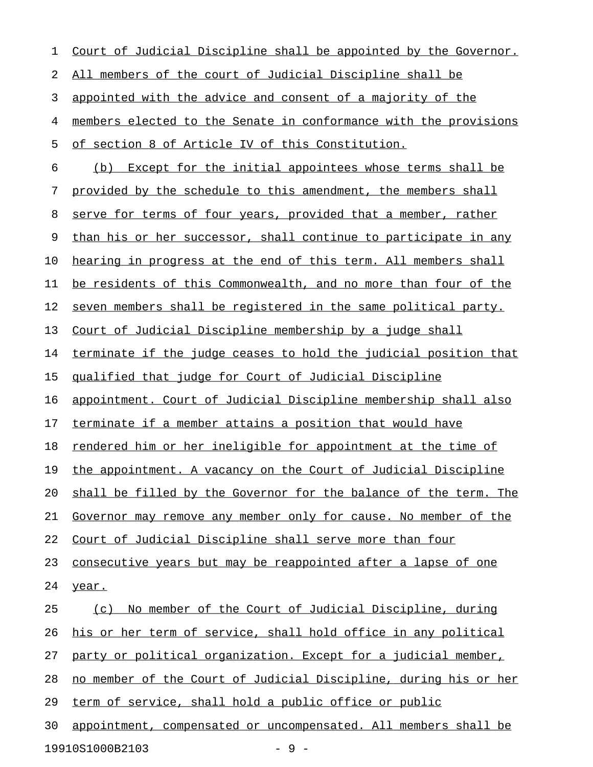| 1  | Court of Judicial Discipline shall be appointed by the Governor. |
|----|------------------------------------------------------------------|
| 2  | All members of the court of Judicial Discipline shall be         |
| 3  | appointed with the advice and consent of a majority of the       |
| 4  | members elected to the Senate in conformance with the provisions |
| 5  | of section 8 of Article IV of this Constitution.                 |
| 6  | (b) Except for the initial appointees whose terms shall be       |
| 7  | provided by the schedule to this amendment, the members shall    |
| 8  | serve for terms of four years, provided that a member, rather    |
| 9  | than his or her successor, shall continue to participate in any  |
| 10 | hearing in progress at the end of this term. All members shall   |
| 11 | be residents of this Commonwealth, and no more than four of the  |
| 12 | seven members shall be registered in the same political party.   |
| 13 | Court of Judicial Discipline membership by a judge shall         |
| 14 | terminate if the judge ceases to hold the judicial position that |
| 15 | qualified that judge for Court of Judicial Discipline            |
| 16 | appointment. Court of Judicial Discipline membership shall also  |
| 17 | terminate if a member attains a position that would have         |
| 18 | rendered him or her ineligible for appointment at the time of    |
| 19 | the appointment. A vacancy on the Court of Judicial Discipline   |
| 20 | shall be filled by the Governor for the balance of the term. The |
| 21 | Governor may remove any member only for cause. No member of the  |
| 22 | Court of Judicial Discipline shall serve more than four          |
| 23 | consecutive years but may be reappointed after a lapse of one    |
| 24 | year.                                                            |
| 25 | No member of the Court of Judicial Discipline, during<br>(c)     |
| 26 | his or her term of service, shall hold office in any political   |
| 27 | party or political organization. Except for a judicial member,   |
| 28 | no member of the Court of Judicial Discipline, during his or her |
| 29 | term of service, shall hold a public office or public            |
| 30 | appointment, compensated or uncompensated. All members shall be  |
|    | 19910S1000B2103<br>$-9-$                                         |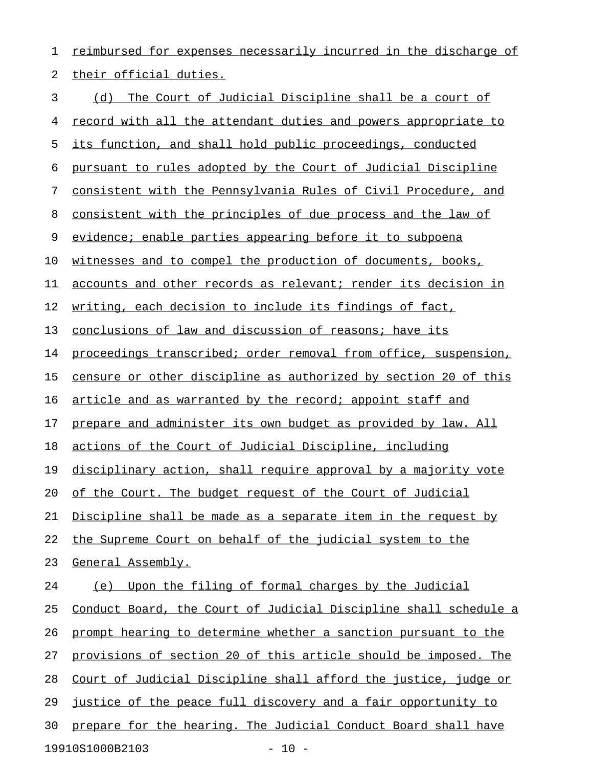1 reimbursed for expenses necessarily incurred in the discharge of 2 their official duties.

3 (d) The Court of Judicial Discipline shall be a court of 4 record with all the attendant duties and powers appropriate to 5 its function, and shall hold public proceedings, conducted 6 pursuant to rules adopted by the Court of Judicial Discipline 7 consistent with the Pennsylvania Rules of Civil Procedure, and 8 consistent with the principles of due process and the law of 9 evidence; enable parties appearing before it to subpoena 10 witnesses and to compel the production of documents, books, 11 accounts and other records as relevant; render its decision in 12 writing, each decision to include its findings of fact, 13 conclusions of law and discussion of reasons; have its 14 proceedings transcribed; order removal from office, suspension, 15 censure or other discipline as authorized by section 20 of this 16 article and as warranted by the record; appoint staff and 17 prepare and administer its own budget as provided by law. All 18 actions of the Court of Judicial Discipline, including 19 disciplinary action, shall require approval by a majority vote 20 of the Court. The budget request of the Court of Judicial 21 Discipline shall be made as a separate item in the request by 22 the Supreme Court on behalf of the judicial system to the 23 General Assembly. 24 (e) Upon the filing of formal charges by the Judicial 25 Conduct Board, the Court of Judicial Discipline shall schedule a 26 prompt hearing to determine whether a sanction pursuant to the 27 provisions of section 20 of this article should be imposed. The 28 Court of Judicial Discipline shall afford the justice, judge or 29 justice of the peace full discovery and a fair opportunity to 30 prepare for the hearing. The Judicial Conduct Board shall have 19910S1000B2103 - 10 -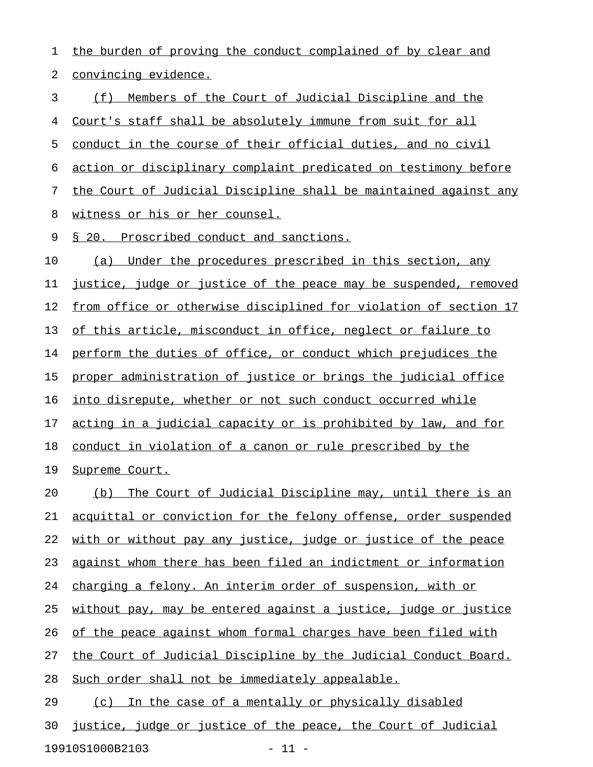1 the burden of proving the conduct complained of by clear and 2 convincing evidence. 3 (f) Members of the Court of Judicial Discipline and the 4 Court's staff shall be absolutely immune from suit for all 5 conduct in the course of their official duties, and no civil 6 action or disciplinary complaint predicated on testimony before 7 the Court of Judicial Discipline shall be maintained against any 8 witness or his or her counsel. 9 § 20. Proscribed conduct and sanctions. 10 (a) Under the procedures prescribed in this section, any 11 justice, judge or justice of the peace may be suspended, removed 12 from office or otherwise disciplined for violation of section 17 13 of this article, misconduct in office, neglect or failure to 14 perform the duties of office, or conduct which prejudices the 15 proper administration of justice or brings the judicial office 16 into disrepute, whether or not such conduct occurred while 17 acting in a judicial capacity or is prohibited by law, and for 18 conduct in violation of a canon or rule prescribed by the 19 Supreme Court. 20 (b) The Court of Judicial Discipline may, until there is an 21 acquittal or conviction for the felony offense, order suspended 22 with or without pay any justice, judge or justice of the peace 23 against whom there has been filed an indictment or information 24 charging a felony. An interim order of suspension, with or 25 without pay, may be entered against a justice, judge or justice 26 of the peace against whom formal charges have been filed with 27 the Court of Judicial Discipline by the Judicial Conduct Board. 28 Such order shall not be immediately appealable. 29 (c) In the case of a mentally or physically disabled 30 justice, judge or justice of the peace, the Court of Judicial

19910S1000B2103 - 11 -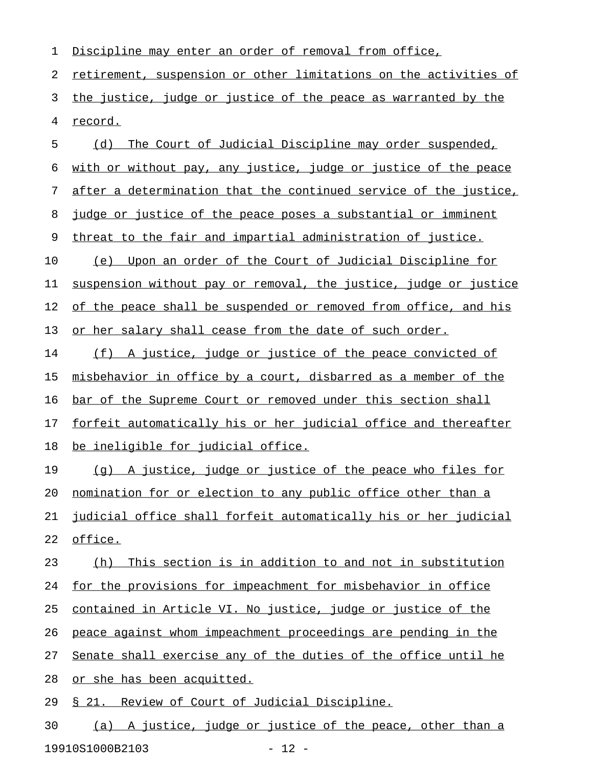1 Discipline may enter an order of removal from office, 2 retirement, suspension or other limitations on the activities of 3 the justice, judge or justice of the peace as warranted by the 4 record. 5 (d) The Court of Judicial Discipline may order suspended, 6 with or without pay, any justice, judge or justice of the peace 7 after a determination that the continued service of the justice, 8 judge or justice of the peace poses a substantial or imminent 9 threat to the fair and impartial administration of justice. 10 (e) Upon an order of the Court of Judicial Discipline for 11 suspension without pay or removal, the justice, judge or justice 12 of the peace shall be suspended or removed from office, and his 13 or her salary shall cease from the date of such order. 14 (f) A justice, judge or justice of the peace convicted of 15 misbehavior in office by a court, disbarred as a member of the 16 bar of the Supreme Court or removed under this section shall 17 forfeit automatically his or her judicial office and thereafter 18 be ineligible for judicial office. 19 (q) A justice, judge or justice of the peace who files for 20 nomination for or election to any public office other than a 21 judicial office shall forfeit automatically his or her judicial 22 office. 23 (h) This section is in addition to and not in substitution 24 for the provisions for impeachment for misbehavior in office 25 contained in Article VI. No justice, judge or justice of the 26 peace against whom impeachment proceedings are pending in the 27 Senate shall exercise any of the duties of the office until he 28 or she has been acquitted. 29 § 21. Review of Court of Judicial Discipline. 30 (a) A justice, judge or justice of the peace, other than a 19910S1000B2103 - 12 -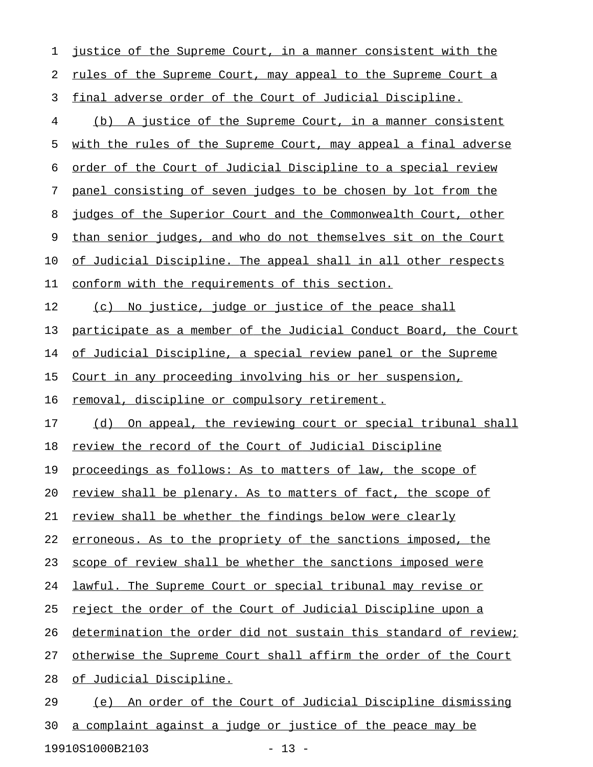| 1  | justice of the Supreme Court, in a manner consistent with the        |
|----|----------------------------------------------------------------------|
| 2  | rules of the Supreme Court, may appeal to the Supreme Court a        |
| 3  | final adverse order of the Court of Judicial Discipline.             |
| 4  | (b) A justice of the Supreme Court, in a manner consistent           |
| 5  | with the rules of the Supreme Court, may appeal a final adverse      |
| 6  | <u>order of the Court of Judicial Discipline to a special review</u> |
| 7  | panel consisting of seven judges to be chosen by lot from the        |
| 8  | judges of the Superior Court and the Commonwealth Court, other       |
| 9  | than senior judges, and who do not themselves sit on the Court       |
| 10 | of Judicial Discipline. The appeal shall in all other respects       |
| 11 | conform with the requirements of this section.                       |
| 12 | (c) No justice, judge or justice of the peace shall                  |
| 13 | participate as a member of the Judicial Conduct Board, the Court     |
| 14 | of Judicial Discipline, a special review panel or the Supreme        |
| 15 | Court in any proceeding involving his or her suspension,             |
| 16 | removal, discipline or compulsory retirement.                        |
|    | (d) On appeal, the reviewing court or special tribunal shall         |
| 17 |                                                                      |
| 18 | review the record of the Court of Judicial Discipline                |
| 19 | proceedings as follows: As to matters of law, the scope of           |
| 20 | review shall be plenary. As to matters of fact, the scope of         |
| 21 | review shall be whether the findings below were clearly              |
| 22 | erroneous. As to the propriety of the sanctions imposed, the         |
| 23 | scope of review shall be whether the sanctions imposed were          |
| 24 | lawful. The Supreme Court or special tribunal may revise or          |
| 25 | reject the order of the Court of Judicial Discipline upon a          |
| 26 | determination the order did not sustain this standard of review;     |
| 27 | otherwise the Supreme Court shall affirm the order of the Court      |
| 28 | of Judicial Discipline.                                              |
| 29 | (e) An order of the Court of Judicial Discipline dismissing          |

19910S1000B2103 - 13 -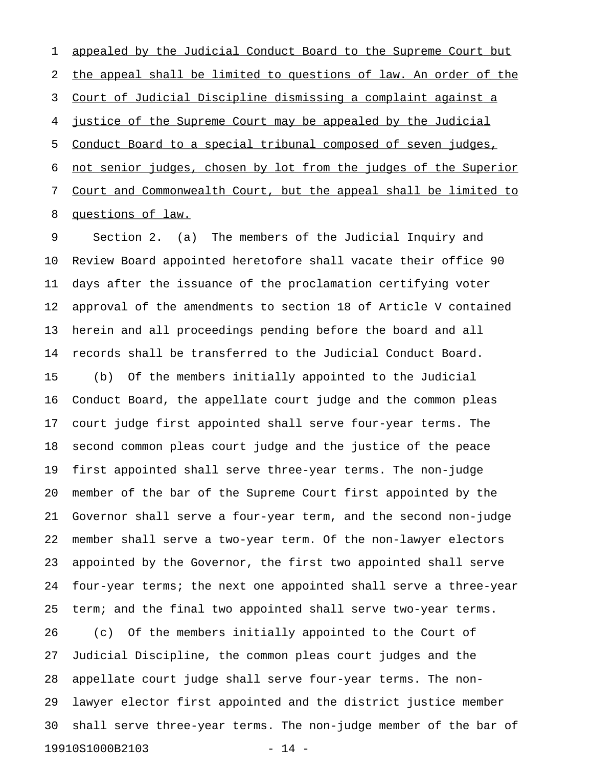1 appealed by the Judicial Conduct Board to the Supreme Court but 2 the appeal shall be limited to questions of law. An order of the 3 Court of Judicial Discipline dismissing a complaint against a 4 justice of the Supreme Court may be appealed by the Judicial 5 Conduct Board to a special tribunal composed of seven judges, 6 not senior judges, chosen by lot from the judges of the Superior 7 Court and Commonwealth Court, but the appeal shall be limited to 8 questions of law.

9 Section 2. (a) The members of the Judicial Inquiry and 10 Review Board appointed heretofore shall vacate their office 90 11 days after the issuance of the proclamation certifying voter 12 approval of the amendments to section 18 of Article V contained 13 herein and all proceedings pending before the board and all 14 records shall be transferred to the Judicial Conduct Board. 15 (b) Of the members initially appointed to the Judicial 16 Conduct Board, the appellate court judge and the common pleas 17 court judge first appointed shall serve four-year terms. The 18 second common pleas court judge and the justice of the peace 19 first appointed shall serve three-year terms. The non-judge 20 member of the bar of the Supreme Court first appointed by the 21 Governor shall serve a four-year term, and the second non-judge 22 member shall serve a two-year term. Of the non-lawyer electors 23 appointed by the Governor, the first two appointed shall serve 24 four-year terms; the next one appointed shall serve a three-year 25 term; and the final two appointed shall serve two-year terms. 26 (c) Of the members initially appointed to the Court of 27 Judicial Discipline, the common pleas court judges and the 28 appellate court judge shall serve four-year terms. The non-29 lawyer elector first appointed and the district justice member 30 shall serve three-year terms. The non-judge member of the bar of 19910S1000B2103 - 14 -